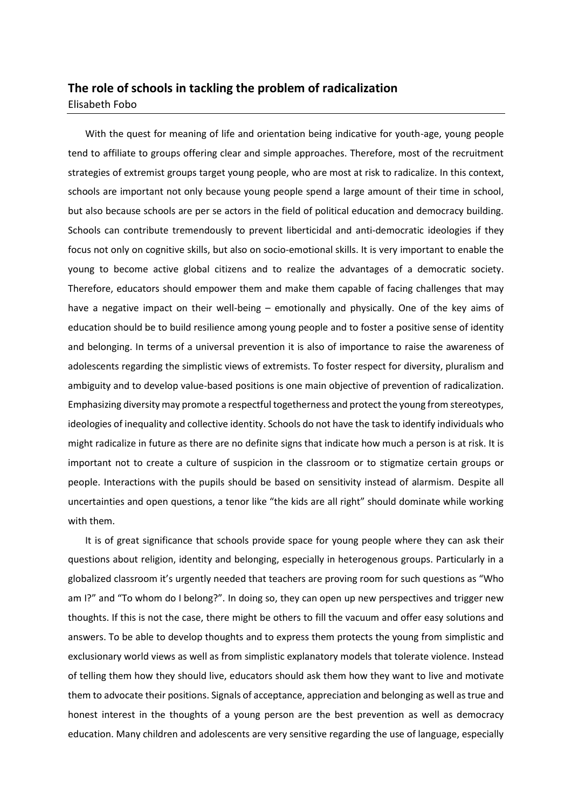## **The role of schools in tackling the problem of radicalization** Elisabeth Fobo

With the quest for meaning of life and orientation being indicative for youth-age, young people tend to affiliate to groups offering clear and simple approaches. Therefore, most of the recruitment strategies of extremist groups target young people, who are most at risk to radicalize. In this context, schools are important not only because young people spend a large amount of their time in school, but also because schools are per se actors in the field of political education and democracy building. Schools can contribute tremendously to prevent liberticidal and anti-democratic ideologies if they focus not only on cognitive skills, but also on socio-emotional skills. It is very important to enable the young to become active global citizens and to realize the advantages of a democratic society. Therefore, educators should empower them and make them capable of facing challenges that may have a negative impact on their well-being – emotionally and physically. One of the key aims of education should be to build resilience among young people and to foster a positive sense of identity and belonging. In terms of a universal prevention it is also of importance to raise the awareness of adolescents regarding the simplistic views of extremists. To foster respect for diversity, pluralism and ambiguity and to develop value-based positions is one main objective of prevention of radicalization. Emphasizing diversity may promote a respectful togetherness and protect the young from stereotypes, ideologies of inequality and collective identity. Schools do not have the task to identify individuals who might radicalize in future as there are no definite signs that indicate how much a person is at risk. It is important not to create a culture of suspicion in the classroom or to stigmatize certain groups or people. Interactions with the pupils should be based on sensitivity instead of alarmism. Despite all uncertainties and open questions, a tenor like "the kids are all right" should dominate while working with them.

It is of great significance that schools provide space for young people where they can ask their questions about religion, identity and belonging, especially in heterogenous groups. Particularly in a globalized classroom it's urgently needed that teachers are proving room for such questions as "Who am I?" and "To whom do I belong?". In doing so, they can open up new perspectives and trigger new thoughts. If this is not the case, there might be others to fill the vacuum and offer easy solutions and answers. To be able to develop thoughts and to express them protects the young from simplistic and exclusionary world views as well as from simplistic explanatory models that tolerate violence. Instead of telling them how they should live, educators should ask them how they want to live and motivate them to advocate their positions. Signals of acceptance, appreciation and belonging as well as true and honest interest in the thoughts of a young person are the best prevention as well as democracy education. Many children and adolescents are very sensitive regarding the use of language, especially